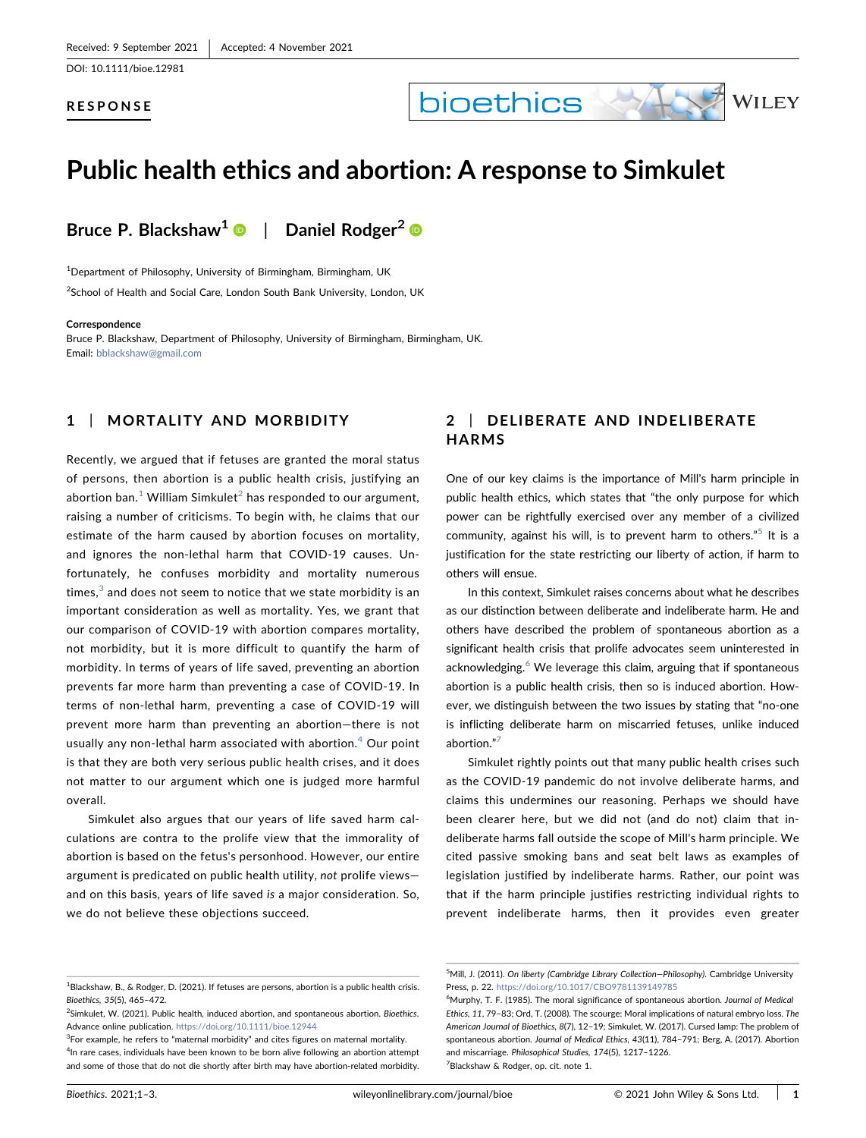DOI: 10.1111/bioe.12981

#### RESPONSE

# bioethics



# Public health ethics and abortion: A response to Simkulet

Bruce P. Blackshaw<sup>[1](http://orcid.org/0000-0002-9115-582X)</sup> | Daniel Rodger<sup>2</sup>  $\bullet$ 

<sup>1</sup>Department of Philosophy, University of Birmingham, Birmingham, UK <sup>2</sup>School of Health and Social Care, London South Bank University, London, UK

#### **Correspondence**

Bruce P. Blackshaw, Department of Philosophy, University of Birmingham, Birmingham, UK. Email: [bblackshaw@gmail.com](mailto:bblackshaw@gmail.com)

# 1 | MORTALITY AND MORBIDITY

Recently, we argued that if fetuses are granted the moral status of persons, then abortion is a public health crisis, justifying an abortion ban.<sup>[1](#page-0-0)</sup> William Simkulet<sup>[2](#page-0-1)</sup> has responded to our argument, raising a number of criticisms. To begin with, he claims that our estimate of the harm caused by abortion focuses on mortality, and ignores the non‐lethal harm that COVID‐19 causes. Unfortunately, he confuses morbidity and mortality numerous times, $3$  and does not seem to notice that we state morbidity is an important consideration as well as mortality. Yes, we grant that our comparison of COVID‐19 with abortion compares mortality, not morbidity, but it is more difficult to quantify the harm of morbidity. In terms of years of life saved, preventing an abortion prevents far more harm than preventing a case of COVID‐19. In terms of non‐lethal harm, preventing a case of COVID‐19 will prevent more harm than preventing an abortion—there is not usually any non-lethal harm associated with abortion. $4$  Our point is that they are both very serious public health crises, and it does not matter to our argument which one is judged more harmful overall.

Simkulet also argues that our years of life saved harm calculations are contra to the prolife view that the immorality of abortion is based on the fetus's personhood. However, our entire argument is predicated on public health utility, not prolife views and on this basis, years of life saved is a major consideration. So, we do not believe these objections succeed.

# 2 | DELIBERATE AND INDELIBERATE **HARMS**

One of our key claims is the importance of Mill's harm principle in public health ethics, which states that "the only purpose for which power can be rightfully exercised over any member of a civilized community, against his will, is to prevent harm to others."<sup>[5](#page-0-4)</sup> It is a justification for the state restricting our liberty of action, if harm to others will ensue.

In this context, Simkulet raises concerns about what he describes as our distinction between deliberate and indeliberate harm. He and others have described the problem of spontaneous abortion as a significant health crisis that prolife advocates seem uninterested in acknowledging.<sup>6</sup> We leverage this claim, arguing that if spontaneous abortion is a public health crisis, then so is induced abortion. However, we distinguish between the two issues by stating that "no‐one is inflicting deliberate harm on miscarried fetuses, unlike induced abortion." [7](#page-0-6)

Simkulet rightly points out that many public health crises such as the COVID‐19 pandemic do not involve deliberate harms, and claims this undermines our reasoning. Perhaps we should have been clearer here, but we did not (and do not) claim that indeliberate harms fall outside the scope of Mill's harm principle. We cited passive smoking bans and seat belt laws as examples of legislation justified by indeliberate harms. Rather, our point was that if the harm principle justifies restricting individual rights to prevent indeliberate harms, then it provides even greater

<span id="page-0-0"></span> $^{1}$ Blackshaw, B., & Rodger, D. (2021). If fetuses are persons, abortion is a public health crisis. Bioethics, 35(5), 465–472.

<span id="page-0-1"></span> ${}^{2}$ Simkulet, W. (2021). Public health, induced abortion, and spontaneous abortion. Bioethics. Advance online publication. <https://doi.org/10.1111/bioe.12944>

<span id="page-0-3"></span><span id="page-0-2"></span><sup>&</sup>lt;sup>3</sup>For example, he refers to "maternal morbidity" and cites figures on maternal mortality. <sup>4</sup>In rare cases, individuals have been known to be born alive following an abortion attempt and some of those that do not die shortly after birth may have abortion‐related morbidity.

<span id="page-0-4"></span><sup>&</sup>lt;sup>5</sup>Mill, J. (2011). On liberty (Cambridge Library Collection-Philosophy). Cambridge University Press, p. 22. <https://doi.org/10.1017/CBO9781139149785>

<span id="page-0-6"></span><span id="page-0-5"></span><sup>&</sup>lt;sup>6</sup>Murphy, T. F. (1985). The moral significance of spontaneous abortion. Journal of Medical Ethics, 11, 79–83; Ord, T. (2008). The scourge: Moral implications of natural embryo loss. The American Journal of Bioethics, 8(7), 12–19; Simkulet, W. (2017). Cursed lamp: The problem of spontaneous abortion. Journal of Medical Ethics, 43(11), 784–791; Berg, A. (2017). Abortion and miscarriage. Philosophical Studies, 174(5), 1217–1226. <sup>7</sup> Blackshaw & Rodger, op. cit. note 1.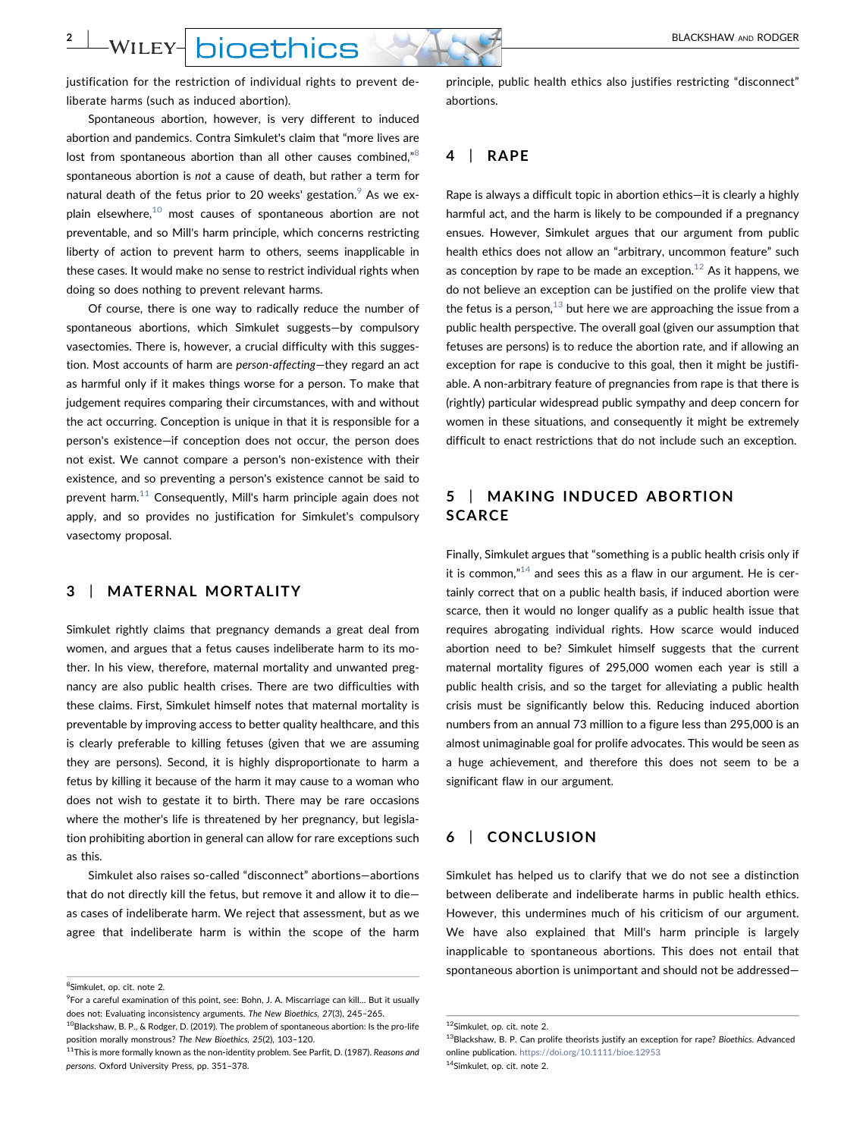**2** | WILEY- **DIOEthics** 

justification for the restriction of individual rights to prevent deliberate harms (such as induced abortion).

Spontaneous abortion, however, is very different to induced abortion and pandemics. Contra Simkulet's claim that "more lives are lost from spontaneous abortion than all other causes combined,"[8](#page-1-0) spontaneous abortion is not a cause of death, but rather a term for natural death of the fetus prior to 20 weeks' gestation.  $9$  As we ex-plain elsewhere,<sup>[10](#page-1-2)</sup> most causes of spontaneous abortion are not preventable, and so Mill's harm principle, which concerns restricting liberty of action to prevent harm to others, seems inapplicable in these cases. It would make no sense to restrict individual rights when doing so does nothing to prevent relevant harms.

Of course, there is one way to radically reduce the number of spontaneous abortions, which Simkulet suggests—by compulsory vasectomies. There is, however, a crucial difficulty with this suggestion. Most accounts of harm are person-affecting-they regard an act as harmful only if it makes things worse for a person. To make that judgement requires comparing their circumstances, with and without the act occurring. Conception is unique in that it is responsible for a person's existence—if conception does not occur, the person does not exist. We cannot compare a person's non-existence with their existence, and so preventing a person's existence cannot be said to prevent harm. $11$  Consequently, Mill's harm principle again does not apply, and so provides no justification for Simkulet's compulsory vasectomy proposal.

#### 3 | MATERNAL MORTALITY

Simkulet rightly claims that pregnancy demands a great deal from women, and argues that a fetus causes indeliberate harm to its mother. In his view, therefore, maternal mortality and unwanted pregnancy are also public health crises. There are two difficulties with these claims. First, Simkulet himself notes that maternal mortality is preventable by improving access to better quality healthcare, and this is clearly preferable to killing fetuses (given that we are assuming they are persons). Second, it is highly disproportionate to harm a fetus by killing it because of the harm it may cause to a woman who does not wish to gestate it to birth. There may be rare occasions where the mother's life is threatened by her pregnancy, but legislation prohibiting abortion in general can allow for rare exceptions such as this.

Simkulet also raises so‐called "disconnect" abortions—abortions that do not directly kill the fetus, but remove it and allow it to die as cases of indeliberate harm. We reject that assessment, but as we agree that indeliberate harm is within the scope of the harm principle, public health ethics also justifies restricting "disconnect" abortions.

### 4 | RAPE

Rape is always a difficult topic in abortion ethics—it is clearly a highly harmful act, and the harm is likely to be compounded if a pregnancy ensues. However, Simkulet argues that our argument from public health ethics does not allow an "arbitrary, uncommon feature" such as conception by rape to be made an exception. $12$  As it happens, we do not believe an exception can be justified on the prolife view that the fetus is a person, $^{13}$  $^{13}$  $^{13}$  but here we are approaching the issue from a public health perspective. The overall goal (given our assumption that fetuses are persons) is to reduce the abortion rate, and if allowing an exception for rape is conducive to this goal, then it might be justifiable. A non-arbitrary feature of pregnancies from rape is that there is (rightly) particular widespread public sympathy and deep concern for women in these situations, and consequently it might be extremely difficult to enact restrictions that do not include such an exception.

# 5 | MAKING INDUCED ABORTION **SCARCE**

Finally, Simkulet argues that "something is a public health crisis only if it is common, $n^{14}$  $n^{14}$  $n^{14}$  and sees this as a flaw in our argument. He is certainly correct that on a public health basis, if induced abortion were scarce, then it would no longer qualify as a public health issue that requires abrogating individual rights. How scarce would induced abortion need to be? Simkulet himself suggests that the current maternal mortality figures of 295,000 women each year is still a public health crisis, and so the target for alleviating a public health crisis must be significantly below this. Reducing induced abortion numbers from an annual 73 million to a figure less than 295,000 is an almost unimaginable goal for prolife advocates. This would be seen as a huge achievement, and therefore this does not seem to be a significant flaw in our argument.

### 6 | CONCLUSION

Simkulet has helped us to clarify that we do not see a distinction between deliberate and indeliberate harms in public health ethics. However, this undermines much of his criticism of our argument. We have also explained that Mill's harm principle is largely inapplicable to spontaneous abortions. This does not entail that spontaneous abortion is unimportant and should not be addressed—

<span id="page-1-0"></span><sup>&</sup>lt;sup>8</sup>Simkulet, op. cit. note 2.

<span id="page-1-1"></span><sup>&</sup>lt;sup>9</sup> For a careful examination of this point, see: Bohn, J. A. Miscarriage can kill... But it usually does not: Evaluating inconsistency arguments. The New Bioethics, 27(3), 245–265.  $^{10}$ Blackshaw, B. P., & Rodger, D. (2019). The problem of spontaneous abortion: Is the pro-life

<span id="page-1-2"></span>position morally monstrous? The New Bioethics, 25(2), 103–120. 11This is more formally known as the non-identity problem. See Parfit, D. (1987). Reasons and

<span id="page-1-3"></span>persons. Oxford University Press, pp. 351–378.

<span id="page-1-4"></span><sup>12</sup>Simkulet, op. cit. note 2.

<span id="page-1-6"></span><span id="page-1-5"></span><sup>&</sup>lt;sup>13</sup>Blackshaw, B. P. Can prolife theorists justify an exception for rape? Bioethics. Advanced online publication. <https://doi.org/10.1111/bioe.12953> 14Simkulet, op. cit. note 2.